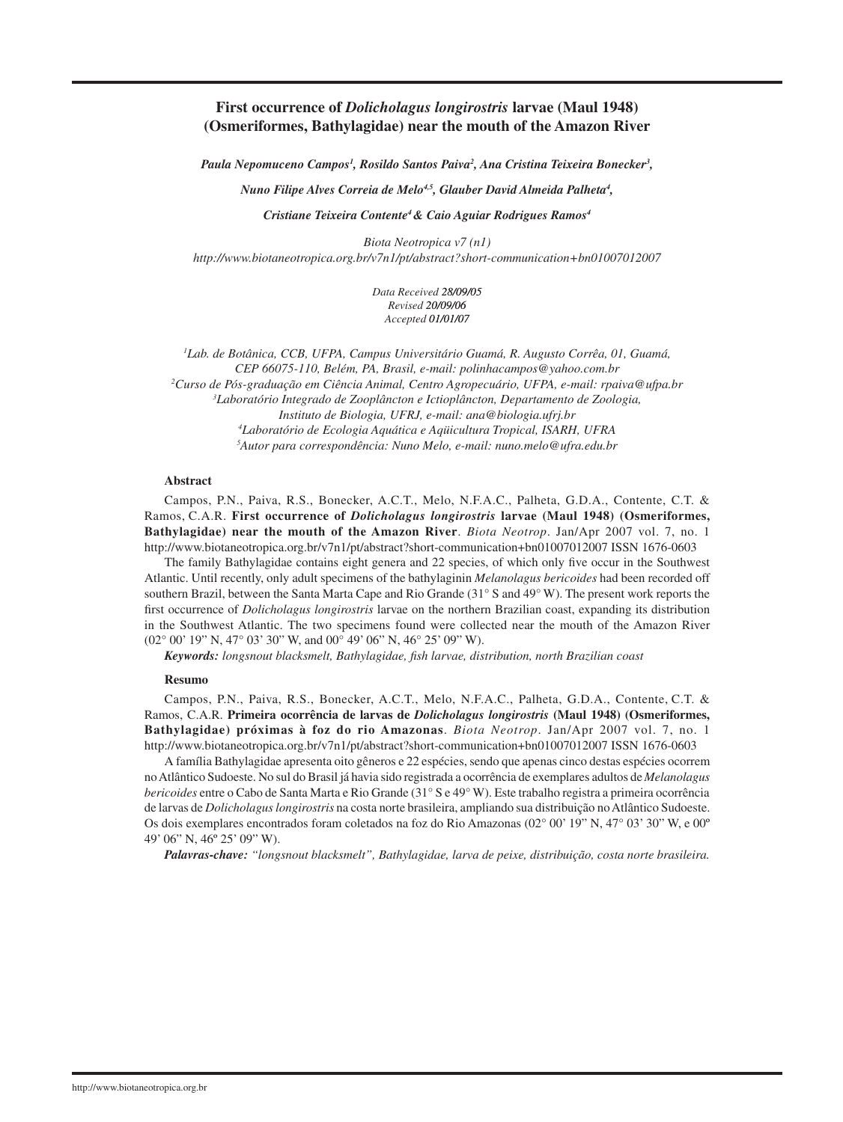# **First occurrence of** *Dolicholagus longirostris* **larvae (Maul 1948) (Osmeriformes, Bathylagidae) near the mouth of the Amazon River**

Paula Nepomuceno Campos<sup>1</sup>, Rosildo Santos Paiva<sup>2</sup>, Ana Cristina Teixeira Bonecker<sup>3</sup>,

*Nuno Filipe Alves Correia de Melo4,5, Glauber David Almeida Palheta4 ,* 

*Cristiane Teixeira Contente4 & Caio Aguiar Rodrigues Ramos4*

*Biota Neotropica v7 (n1) http://www.biotaneotropica.org.br/v7n1/pt/abstract?short-communication+bn01007012007*

> *Data Received� 28/09/05 Revised� 20/0� � Accepted� 01/01/07*

 *Lab. de Botânica, CCB, UFPA, Campus Universitário Guamá, R. Augusto Corrêa, 01, Guamá, CEP 66075-110, Belém, PA, Brasil, e-mail: polinhacampos@yahoo.com.br Curso de Pós-graduação em Ciência Animal, Centro Agropecuário, UFPA, e-mail: rpaiva@ufpa.br Laboratório Integrado de Zooplâncton e Ictioplâncton, Departamento de Zoologia, Instituto de Biologia, UFRJ, e-mail: ana@biologia.ufrj.br Laboratório de Ecologia Aquática e Aqüicultura Tropical, ISARH, UFRA Autor para correspondência: Nuno Melo, e-mail: nuno.melo@ufra.edu.br*

#### **Abstract**

Campos, P.N., Paiva, R.S., Bonecker, A.C.T., Melo, N.F.A.C., Palheta, G.D.A., Contente, C.T. & Ramos, C.A.R. **First occurrence of** *Dolicholagus longirostris* **larvae (Maul 1948) (Osmeriformes, Bathylagidae) near the mouth of the Amazon River**. *Biota Neotrop*. Jan/Apr 2007 vol. 7, no. 1 http://www.biotaneotropica.org.br/v7n1/pt/abstract?short-communication+bn01007012007 ISSN 1676-0603

The family Bathylagidae contains eight genera and 22 species, of which only five occur in the Southwest Atlantic. Until recently, only adult specimens of the bathylaginin *Melanolagus bericoides* had been recorded off southern Brazil, between the Santa Marta Cape and Rio Grande (31° S and 49° W). The present work reports the first occurrence of *Dolicholagus longirostris* larvae on the northern Brazilian coast, expanding its distribution in the Southwest Atlantic. The two specimens found were collected near the mouth of the Amazon River (02° 00' 19" N, 47° 03' 30" W, and 00° 49' 06" N, 46° 25' 09" W).

*Keywords: longsnout blacksmelt, Bathylagidae, fish larvae, distribution, north Brazilian coast*

#### **Resumo**

Campos, P.N., Paiva, R.S., Bonecker, A.C.T., Melo, N.F.A.C., Palheta, G.D.A., Contente, C.T. & Ramos, C.A.R. **Primeira ocorrência de larvas de** *Dolicholagus longirostris* **(Maul 1948) (Osmeriformes, Bathylagidae) próximas à foz do rio Amazonas**. *Biota Neotrop*. Jan/Apr 2007 vol. 7, no. 1 http://www.biotaneotropica.org.br/v7n1/pt/abstract?short-communication+bn01007012007 ISSN 1676-0603

A família Bathylagidae apresenta oito gêneros e 22 espécies, sendo que apenas cinco destas espécies ocorrem no Atlântico Sudoeste. No sul do Brasil já havia sido registrada a ocorrência de exemplares adultos de *Melanolagus bericoides* entre o Cabo de Santa Marta e Rio Grande (31° S e 49° W). Este trabalho registra a primeira ocorrência de larvas de *Dolicholagus longirostris* na costa norte brasileira, ampliando sua distribuição no Atlântico Sudoeste. Os dois exemplares encontrados foram coletados na foz do Rio Amazonas (02° 00' 19" N, 47° 03' 30" W, e 00º 49' 06" N, 46º 25' 09" W).

*Palavras-chave: "longsnout blacksmelt", Bathylagidae, larva de peixe, distribuição, costa norte brasileira.*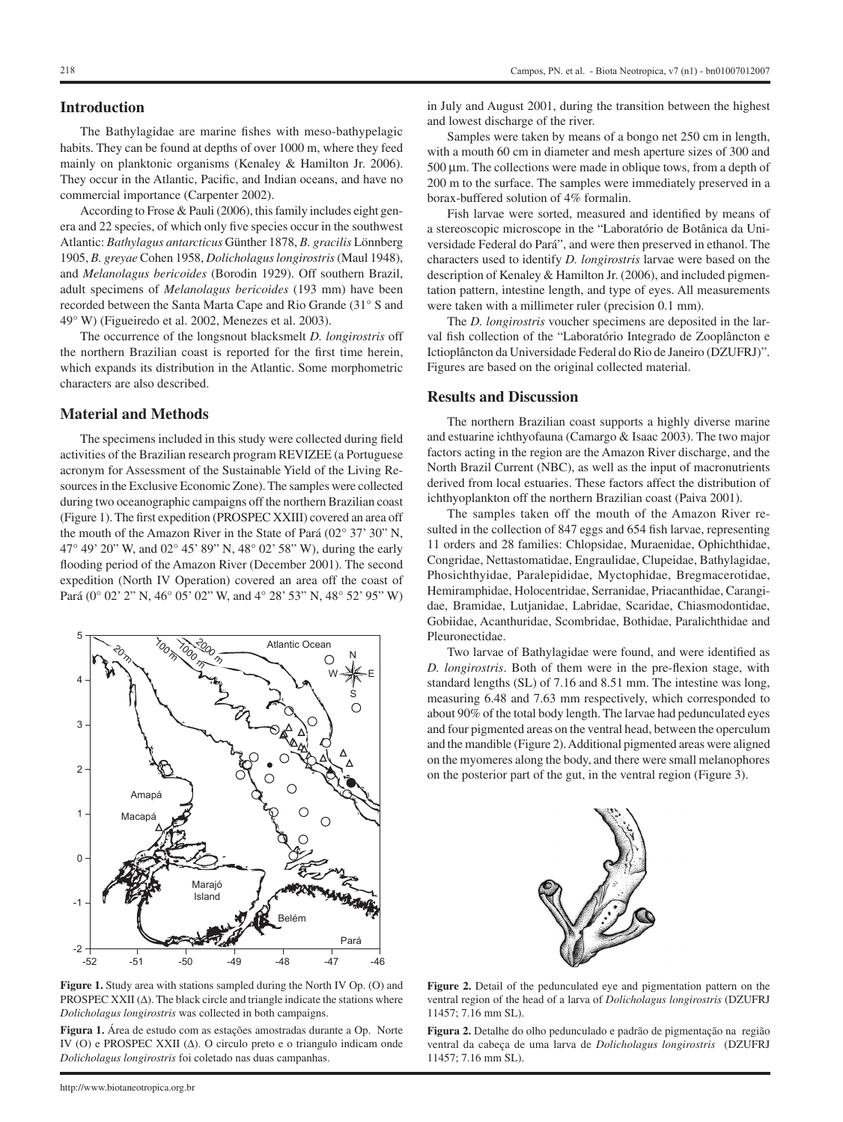#### **Introduction**

The Bathylagidae are marine fishes with meso-bathypelagic habits. They can be found at depths of over 1000 m, where they feed mainly on planktonic organisms (Kenaley & Hamilton Jr. 2006). They occur in the Atlantic, Pacific, and Indian oceans, and have no commercial importance (Carpenter 2002).

According to Frose & Pauli (2006), this family includes eight genera and 22 species, of which only five species occur in the southwest Atlantic: *Bathylagus antarcticus* Günther 1878, *B. gracilis* Lönnberg 1905, *B. greyae* Cohen 1958, *Dolicholagus longirostris* (Maul 1948), and *Melanolagus bericoides* (Borodin 1929). Off southern Brazil, adult specimens of *Melanolagus bericoides* (193 mm) have been recorded between the Santa Marta Cape and Rio Grande (31° S and 49° W) (Figueiredo et al. 2002, Menezes et al. 2003).

The occurrence of the longsnout blacksmelt *D. longirostris* off the northern Brazilian coast is reported for the first time herein, which expands its distribution in the Atlantic. Some morphometric characters are also described.

#### **Material and Methods**

The specimens included in this study were collected during field activities of the Brazilian research program REVIZEE (a Portuguese acronym for Assessment of the Sustainable Yield of the Living Resources in the Exclusive Economic Zone). The samples were collected during two oceanographic campaigns off the northern Brazilian coast (Figure 1). The first expedition (PROSPEC XXIII) covered an area off the mouth of the Amazon River in the State of Pará (02° 37' 30" N, 47° 49' 20" W, and 02° 45' 89" N, 48° 02' 58" W), during the early flooding period of the Amazon River (December 2001). The second expedition (North IV Operation) covered an area off the coast of Pará (0° 02' 2" N, 46° 05' 02" W, and 4° 28' 53" N, 48° 52' 95" W)



**Figure 1.** Study area with stations sampled during the North IV Op. (O) and PROSPEC XXII ( $\Delta$ ). The black circle and triangle indicate the stations where *Dolicholagus longirostris* was collected in both campaigns.

**Figura 1.** Área de estudo com as estações amostradas durante a Op. Norte IV (O) e PROSPEC XXII  $(\Delta)$ . O circulo preto e o triangulo indicam onde *Dolicholagus longirostris* foi coletado nas duas campanhas.

in July and August 2001, during the transition between the highest and lowest discharge of the river.

Samples were taken by means of a bongo net 250 cm in length, with a mouth 60 cm in diameter and mesh aperture sizes of 300 and 500 µm. The collections were made in oblique tows, from a depth of 200 m to the surface. The samples were immediately preserved in a borax-buffered solution of 4% formalin.

Fish larvae were sorted, measured and identified by means of a stereoscopic microscope in the "Laboratório de Botânica da Universidade Federal do Pará", and were then preserved in ethanol. The characters used to identify *D. longirostris* larvae were based on the description of Kenaley & Hamilton Jr. (2006), and included pigmentation pattern, intestine length, and type of eyes. All measurements were taken with a millimeter ruler (precision 0.1 mm).

The *D. longirostris* voucher specimens are deposited in the larval fish collection of the "Laboratório Integrado de Zooplâncton e Ictioplâncton da Universidade Federal do Rio de Janeiro (DZUFRJ)". Figures are based on the original collected material.

## **Results and Discussion**

The northern Brazilian coast supports a highly diverse marine and estuarine ichthyofauna (Camargo & Isaac 2003). The two major factors acting in the region are the Amazon River discharge, and the North Brazil Current (NBC), as well as the input of macronutrients derived from local estuaries. These factors affect the distribution of ichthyoplankton off the northern Brazilian coast (Paiva 2001).

The samples taken off the mouth of the Amazon River resulted in the collection of 847 eggs and 654 fish larvae, representing 11 orders and 28 families: Chlopsidae, Muraenidae, Ophichthidae, Congridae, Nettastomatidae, Engraulidae, Clupeidae, Bathylagidae, Phosichthyidae, Paralepididae, Myctophidae, Bregmacerotidae, Hemiramphidae, Holocentridae, Serranidae, Priacanthidae, Carangidae, Bramidae, Lutjanidae, Labridae, Scaridae, Chiasmodontidae, Gobiidae, Acanthuridae, Scombridae, Bothidae, Paralichthidae and Pleuronectidae.

Two larvae of Bathylagidae were found, and were identified as *D. longirostris*. Both of them were in the pre-flexion stage, with standard lengths (SL) of 7.16 and 8.51 mm. The intestine was long, measuring 6.48 and 7.63 mm respectively, which corresponded to about 90% of the total body length. The larvae had pedunculated eyes and four pigmented areas on the ventral head, between the operculum and the mandible (Figure 2). Additional pigmented areas were aligned on the myomeres along the body, and there were small melanophores on the posterior part of the gut, in the ventral region (Figure 3).



Figure 2. Detail of the pedunculated eye and pigmentation pattern on the ventral region of the head of a larva of *Dolicholagus longirostris* (DZUFRJ 11457; 7.16 mm SL).

**Figura 2.** Detalhe do olho pedunculado e padrão de pigmentação na região ventral da cabeça de uma larva de *Dolicholagus longirostris* (DZUFRJ 11457; 7.16 mm SL).